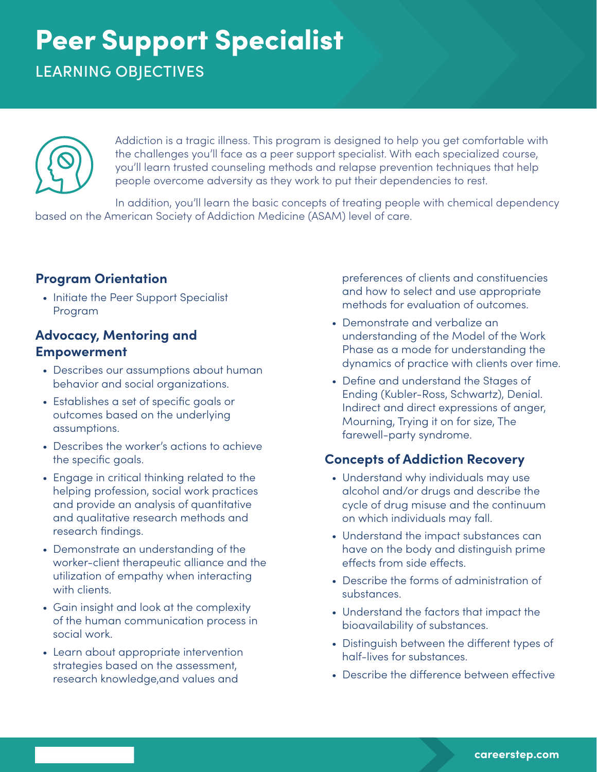# Peer Support Specialist

LEARNING OBJECTIVES



Addiction is a tragic illness. This program is designed to help you get comfortable with the challenges you'll face as a peer support specialist. With each specialized course, you'll learn trusted counseling methods and relapse prevention techniques that help people overcome adversity as they work to put their dependencies to rest.

In addition, you'll learn the basic concepts of treating people with chemical dependency based on the American Society of Addiction Medicine (ASAM) level of care.

### **Program Orientation**

• Initiate the Peer Support Specialist Program

#### **Advocacy, Mentoring and Empowerment**

- Describes our assumptions about human behavior and social organizations.
- Establishes a set of specific goals or outcomes based on the underlying assumptions.
- Describes the worker's actions to achieve the specific goals.
- Engage in critical thinking related to the helping profession, social work practices and provide an analysis of quantitative and qualitative research methods and research findings.
- Demonstrate an understanding of the worker-client therapeutic alliance and the utilization of empathy when interacting with clients.
- Gain insight and look at the complexity of the human communication process in social work.
- Learn about appropriate intervention strategies based on the assessment, research knowledge,and values and

preferences of clients and constituencies and how to select and use appropriate methods for evaluation of outcomes.

- Demonstrate and verbalize an understanding of the Model of the Work Phase as a mode for understanding the dynamics of practice with clients over time.
- Define and understand the Stages of Ending (Kubler-Ross, Schwartz), Denial. Indirect and direct expressions of anger, Mourning, Trying it on for size, The farewell-party syndrome.

### **Concepts of Addiction Recovery**

- Understand why individuals may use alcohol and/or drugs and describe the cycle of drug misuse and the continuum on which individuals may fall.
- Understand the impact substances can have on the body and distinguish prime effects from side effects.
- Describe the forms of administration of substances.
- Understand the factors that impact the bioavailability of substances.
- Distinguish between the different types of half-lives for substances.
- Describe the difference between effective